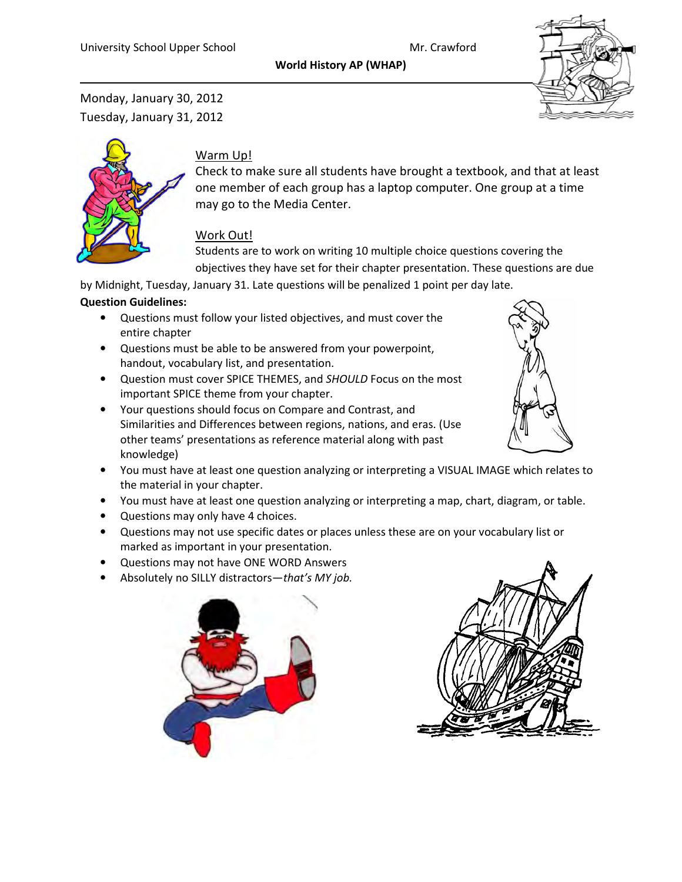World History AP (WHAP)



Monday, January 30, 2012 Tuesday, January 31, 2012



#### Warm Up!

Check to make sure all students have brought a textbook, and that at least one member of each group has a laptop computer. One group at a time may go to the Media Center.

### Work Out!

Students are to work on writing 10 multiple choice questions covering the objectives they have set for their chapter presentation. These questions are due

by Midnight, Tuesday, January 31. Late questions will be penalized 1 point per day late.

#### Question Guidelines:

- Questions must follow your listed objectives, and must cover the entire chapter
- Questions must be able to be answered from your powerpoint, handout, vocabulary list, and presentation.
- Question must cover SPICE THEMES, and SHOULD Focus on the most important SPICE theme from your chapter.
- Your questions should focus on Compare and Contrast, and Similarities and Differences between regions, nations, and eras. (Use other teams' presentations as reference material along with past knowledge)
- You must have at least one question analyzing or interpreting a VISUAL IMAGE which relates to the material in your chapter.
- You must have at least one question analyzing or interpreting a map, chart, diagram, or table.
- Questions may only have 4 choices.
- Questions may not use specific dates or places unless these are on your vocabulary list or marked as important in your presentation.
- Questions may not have ONE WORD Answers
- Absolutely no SILLY distractors-that's MY job.